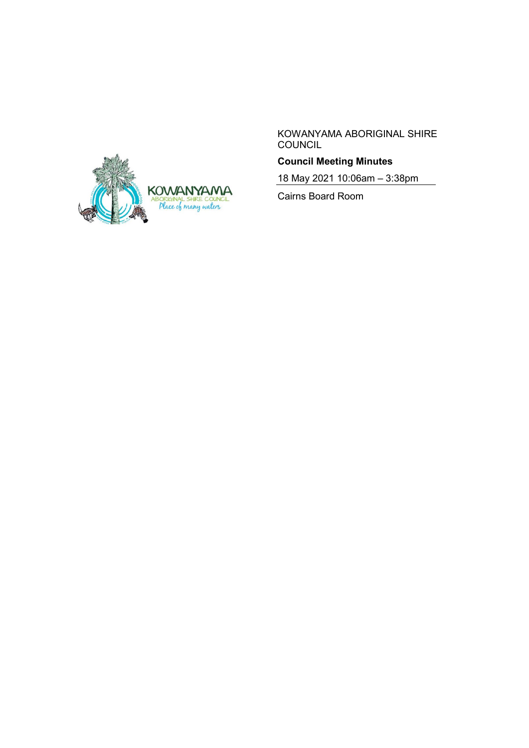

KOWANYAMA ABORIGINAL SHIRE **COUNCIL** 

# **Council Meeting Minutes**

18 May 2021 10:06am – 3:38pm

Cairns Board Room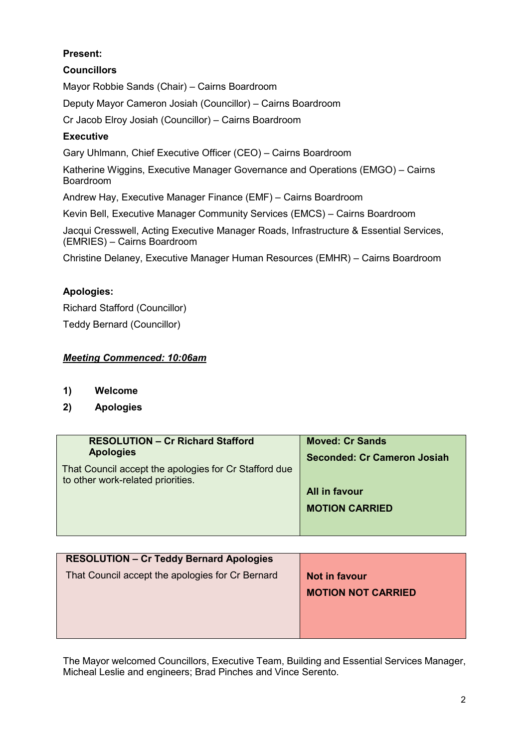# **Present:**

**Councillors** Mayor Robbie Sands (Chair) – Cairns Boardroom Deputy Mayor Cameron Josiah (Councillor) – Cairns Boardroom Cr Jacob Elroy Josiah (Councillor) – Cairns Boardroom **Executive** Gary Uhlmann, Chief Executive Officer (CEO) – Cairns Boardroom Katherine Wiggins, Executive Manager Governance and Operations (EMGO) – Cairns Boardroom Andrew Hay, Executive Manager Finance (EMF) – Cairns Boardroom

Kevin Bell, Executive Manager Community Services (EMCS) – Cairns Boardroom

Jacqui Cresswell, Acting Executive Manager Roads, Infrastructure & Essential Services, (EMRIES) – Cairns Boardroom

Christine Delaney, Executive Manager Human Resources (EMHR) – Cairns Boardroom

### **Apologies:**

Richard Stafford (Councillor) Teddy Bernard (Councillor)

### *Meeting Commenced: 10:06am*

- **1) Welcome**
- **2) Apologies**

| <b>RESOLUTION - Cr Richard Stafford</b>               | <b>Moved: Cr Sands</b>             |
|-------------------------------------------------------|------------------------------------|
| <b>Apologies</b>                                      |                                    |
|                                                       | <b>Seconded: Cr Cameron Josiah</b> |
| That Council accept the apologies for Cr Stafford due |                                    |
| to other work-related priorities.                     |                                    |
|                                                       | All in favour                      |
|                                                       |                                    |
|                                                       | <b>MOTION CARRIED</b>              |
|                                                       |                                    |
|                                                       |                                    |
|                                                       |                                    |

| <b>RESOLUTION - Cr Teddy Bernard Apologies</b>   |                           |
|--------------------------------------------------|---------------------------|
| That Council accept the apologies for Cr Bernard | Not in favour             |
|                                                  | <b>MOTION NOT CARRIED</b> |
|                                                  |                           |
|                                                  |                           |
|                                                  |                           |

The Mayor welcomed Councillors, Executive Team, Building and Essential Services Manager, Micheal Leslie and engineers; Brad Pinches and Vince Serento.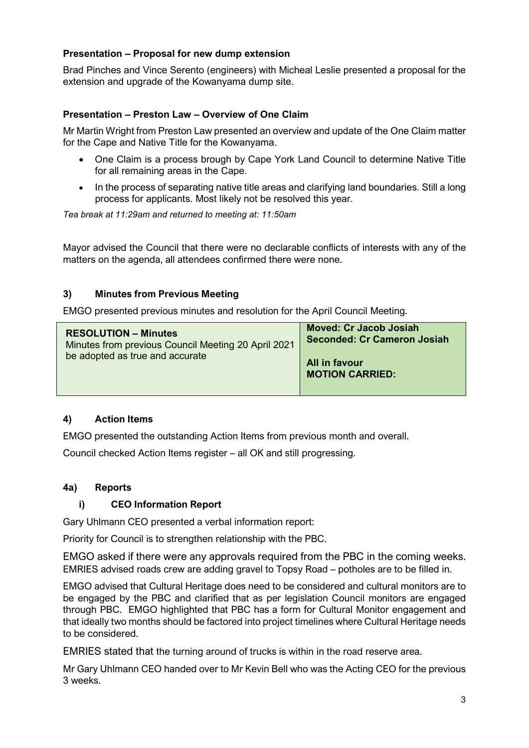# **Presentation – Proposal for new dump extension**

Brad Pinches and Vince Serento (engineers) with Micheal Leslie presented a proposal for the extension and upgrade of the Kowanyama dump site.

## **Presentation – Preston Law – Overview of One Claim**

Mr Martin Wright from Preston Law presented an overview and update of the One Claim matter for the Cape and Native Title for the Kowanyama.

- One Claim is a process brough by Cape York Land Council to determine Native Title for all remaining areas in the Cape.
- In the process of separating native title areas and clarifying land boundaries. Still a long process for applicants. Most likely not be resolved this year.

*Tea break at 11:29am and returned to meeting at: 11:50am*

Mayor advised the Council that there were no declarable conflicts of interests with any of the matters on the agenda, all attendees confirmed there were none.

### **3) Minutes from Previous Meeting**

EMGO presented previous minutes and resolution for the April Council Meeting.

| <b>RESOLUTION – Minutes</b><br>Minutes from previous Council Meeting 20 April 2021<br>be adopted as true and accurate | <b>Moved: Cr Jacob Josiah</b><br><b>Seconded: Cr Cameron Josiah</b> |
|-----------------------------------------------------------------------------------------------------------------------|---------------------------------------------------------------------|
|                                                                                                                       | All in favour<br><b>MOTION CARRIED:</b>                             |

## **4) Action Items**

EMGO presented the outstanding Action Items from previous month and overall.

Council checked Action Items register – all OK and still progressing.

#### **4a) Reports**

#### **i) CEO Information Report**

Gary Uhlmann CEO presented a verbal information report:

Priority for Council is to strengthen relationship with the PBC.

EMGO asked if there were any approvals required from the PBC in the coming weeks. EMRIES advised roads crew are adding gravel to Topsy Road – potholes are to be filled in.

EMGO advised that Cultural Heritage does need to be considered and cultural monitors are to be engaged by the PBC and clarified that as per legislation Council monitors are engaged through PBC. EMGO highlighted that PBC has a form for Cultural Monitor engagement and that ideally two months should be factored into project timelines where Cultural Heritage needs to be considered.

EMRIES stated that the turning around of trucks is within in the road reserve area.

Mr Gary Uhlmann CEO handed over to Mr Kevin Bell who was the Acting CEO for the previous 3 weeks.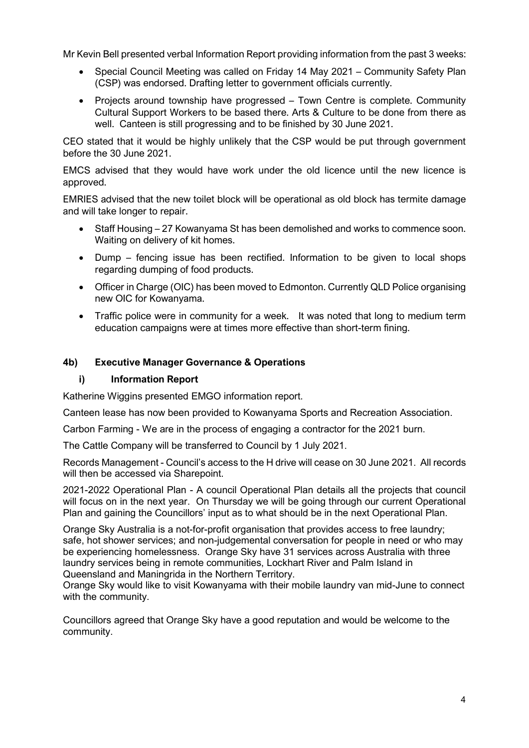Mr Kevin Bell presented verbal Information Report providing information from the past 3 weeks:

- Special Council Meeting was called on Friday 14 May 2021 Community Safety Plan (CSP) was endorsed. Drafting letter to government officials currently.
- Projects around township have progressed Town Centre is complete. Community Cultural Support Workers to be based there. Arts & Culture to be done from there as well. Canteen is still progressing and to be finished by 30 June 2021.

CEO stated that it would be highly unlikely that the CSP would be put through government before the 30 June 2021.

EMCS advised that they would have work under the old licence until the new licence is approved.

EMRIES advised that the new toilet block will be operational as old block has termite damage and will take longer to repair.

- Staff Housing 27 Kowanyama St has been demolished and works to commence soon. Waiting on delivery of kit homes.
- Dump fencing issue has been rectified. Information to be given to local shops regarding dumping of food products.
- Officer in Charge (OIC) has been moved to Edmonton. Currently QLD Police organising new OIC for Kowanyama.
- Traffic police were in community for a week. It was noted that long to medium term education campaigns were at times more effective than short-term fining.

### **4b) Executive Manager Governance & Operations**

#### **i) Information Report**

Katherine Wiggins presented EMGO information report.

Canteen lease has now been provided to Kowanyama Sports and Recreation Association.

Carbon Farming - We are in the process of engaging a contractor for the 2021 burn.

The Cattle Company will be transferred to Council by 1 July 2021.

Records Management - Council's access to the H drive will cease on 30 June 2021. All records will then be accessed via Sharepoint.

2021-2022 Operational Plan - A council Operational Plan details all the projects that council will focus on in the next year. On Thursday we will be going through our current Operational Plan and gaining the Councillors' input as to what should be in the next Operational Plan.

Orange Sky Australia is a not-for-profit organisation that provides access to free laundry; safe, hot shower services; and non-judgemental conversation for people in need or who may be experiencing homelessness. Orange Sky have 31 services across Australia with three laundry services being in remote communities, Lockhart River and Palm Island in Queensland and Maningrida in the Northern Territory.

Orange Sky would like to visit Kowanyama with their mobile laundry van mid-June to connect with the community.

Councillors agreed that Orange Sky have a good reputation and would be welcome to the community.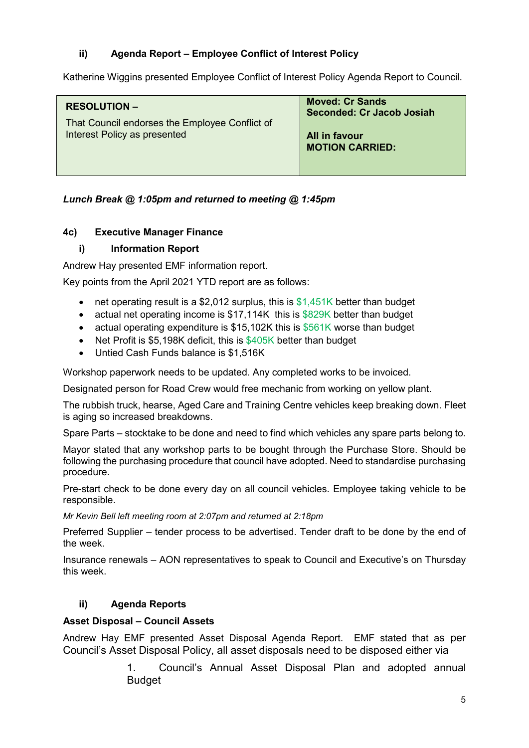# **ii) Agenda Report – Employee Conflict of Interest Policy**

Katherine Wiggins presented Employee Conflict of Interest Policy Agenda Report to Council.

# *Lunch Break @ 1:05pm and returned to meeting @ 1:45pm*

## **4c) Executive Manager Finance**

## **i) Information Report**

Andrew Hay presented EMF information report.

Key points from the April 2021 YTD report are as follows:

- net operating result is a \$2,012 surplus, this is \$1,451K better than budget
- actual net operating income is \$17,114K this is \$829K better than budget
- actual operating expenditure is \$15,102K this is \$561K worse than budget
- Net Profit is \$5,198K deficit, this is \$405K better than budget
- Untied Cash Funds balance is \$1,516K

Workshop paperwork needs to be updated. Any completed works to be invoiced.

Designated person for Road Crew would free mechanic from working on yellow plant.

The rubbish truck, hearse, Aged Care and Training Centre vehicles keep breaking down. Fleet is aging so increased breakdowns.

Spare Parts – stocktake to be done and need to find which vehicles any spare parts belong to.

Mayor stated that any workshop parts to be bought through the Purchase Store. Should be following the purchasing procedure that council have adopted. Need to standardise purchasing procedure.

Pre-start check to be done every day on all council vehicles. Employee taking vehicle to be responsible.

*Mr Kevin Bell left meeting room at 2:07pm and returned at 2:18pm*

Preferred Supplier – tender process to be advertised. Tender draft to be done by the end of the week.

Insurance renewals – AON representatives to speak to Council and Executive's on Thursday this week.

# **ii) Agenda Reports**

# **Asset Disposal – Council Assets**

Andrew Hay EMF presented Asset Disposal Agenda Report. EMF stated that as per Council's Asset Disposal Policy, all asset disposals need to be disposed either via

> 1. Council's Annual Asset Disposal Plan and adopted annual Budget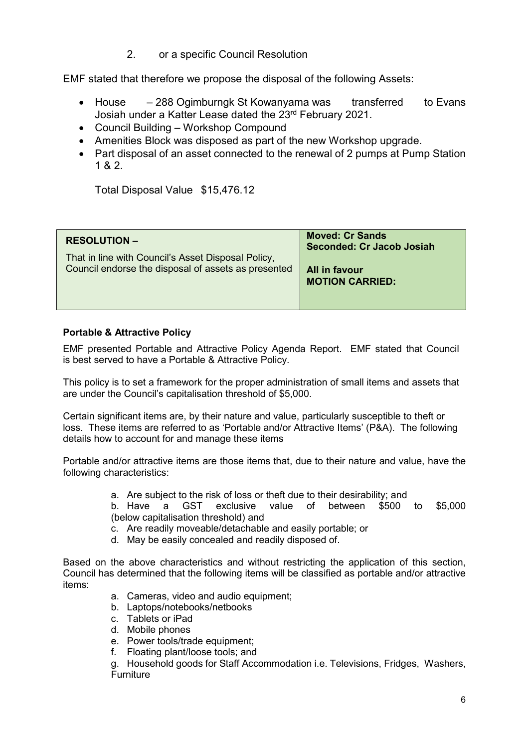2. or a specific Council Resolution

EMF stated that therefore we propose the disposal of the following Assets:

- House 288 Ogimburngk St Kowanyama was transferred to Evans Josiah under a Katter Lease dated the 23rd February 2021.
- Council Building Workshop Compound
- Amenities Block was disposed as part of the new Workshop upgrade.
- Part disposal of an asset connected to the renewal of 2 pumps at Pump Station 1 & 2.

Total Disposal Value \$15,476.12

| <b>RESOLUTION –</b><br>That in line with Council's Asset Disposal Policy,<br>Council endorse the disposal of assets as presented | <b>Moved: Cr Sands</b><br>Seconded: Cr Jacob Josiah<br>All in favour<br><b>MOTION CARRIED:</b> |
|----------------------------------------------------------------------------------------------------------------------------------|------------------------------------------------------------------------------------------------|
|----------------------------------------------------------------------------------------------------------------------------------|------------------------------------------------------------------------------------------------|

### **Portable & Attractive Policy**

EMF presented Portable and Attractive Policy Agenda Report. EMF stated that Council is best served to have a Portable & Attractive Policy.

This policy is to set a framework for the proper administration of small items and assets that are under the Council's capitalisation threshold of \$5,000.

Certain significant items are, by their nature and value, particularly susceptible to theft or loss. These items are referred to as 'Portable and/or Attractive Items' (P&A). The following details how to account for and manage these items

Portable and/or attractive items are those items that, due to their nature and value, have the following characteristics:

a. Are subject to the risk of loss or theft due to their desirability; and

b. Have a GST exclusive value of between \$500 to \$5,000 (below capitalisation threshold) and

- c. Are readily moveable/detachable and easily portable; or
- d. May be easily concealed and readily disposed of.

Based on the above characteristics and without restricting the application of this section, Council has determined that the following items will be classified as portable and/or attractive items:

- a. Cameras, video and audio equipment;
- b. Laptops/notebooks/netbooks
- c. Tablets or iPad
- d. Mobile phones
- e. Power tools/trade equipment;
- f. Floating plant/loose tools; and

g. Household goods for Staff Accommodation i.e. Televisions, Fridges, Washers, Furniture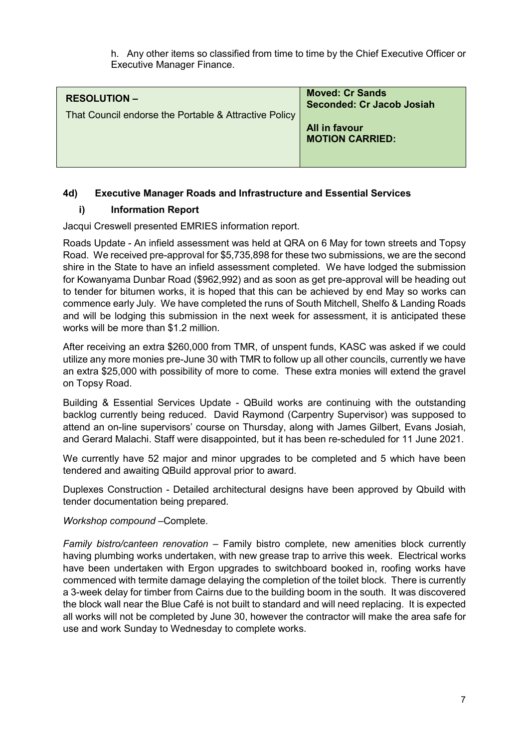h. Any other items so classified from time to time by the Chief Executive Officer or Executive Manager Finance.

| <b>RESOLUTION -</b><br>That Council endorse the Portable & Attractive Policy | <b>Moved: Cr Sands</b><br>Seconded: Cr Jacob Josiah<br>All in favour<br><b>MOTION CARRIED:</b> |
|------------------------------------------------------------------------------|------------------------------------------------------------------------------------------------|
|                                                                              |                                                                                                |

## **4d) Executive Manager Roads and Infrastructure and Essential Services**

### **i) Information Report**

Jacqui Creswell presented EMRIES information report.

Roads Update - An infield assessment was held at QRA on 6 May for town streets and Topsy Road. We received pre-approval for \$5,735,898 for these two submissions, we are the second shire in the State to have an infield assessment completed. We have lodged the submission for Kowanyama Dunbar Road (\$962,992) and as soon as get pre-approval will be heading out to tender for bitumen works, it is hoped that this can be achieved by end May so works can commence early July. We have completed the runs of South Mitchell, Shelfo & Landing Roads and will be lodging this submission in the next week for assessment, it is anticipated these works will be more than \$1.2 million.

After receiving an extra \$260,000 from TMR, of unspent funds, KASC was asked if we could utilize any more monies pre-June 30 with TMR to follow up all other councils, currently we have an extra \$25,000 with possibility of more to come. These extra monies will extend the gravel on Topsy Road.

Building & Essential Services Update - QBuild works are continuing with the outstanding backlog currently being reduced. David Raymond (Carpentry Supervisor) was supposed to attend an on-line supervisors' course on Thursday, along with James Gilbert, Evans Josiah, and Gerard Malachi. Staff were disappointed, but it has been re-scheduled for 11 June 2021.

We currently have 52 major and minor upgrades to be completed and 5 which have been tendered and awaiting QBuild approval prior to award.

Duplexes Construction - Detailed architectural designs have been approved by Qbuild with tender documentation being prepared.

*Workshop compound* –Complete.

*Family bistro/canteen renovation* – Family bistro complete, new amenities block currently having plumbing works undertaken, with new grease trap to arrive this week. Electrical works have been undertaken with Ergon upgrades to switchboard booked in, roofing works have commenced with termite damage delaying the completion of the toilet block. There is currently a 3-week delay for timber from Cairns due to the building boom in the south. It was discovered the block wall near the Blue Café is not built to standard and will need replacing. It is expected all works will not be completed by June 30, however the contractor will make the area safe for use and work Sunday to Wednesday to complete works.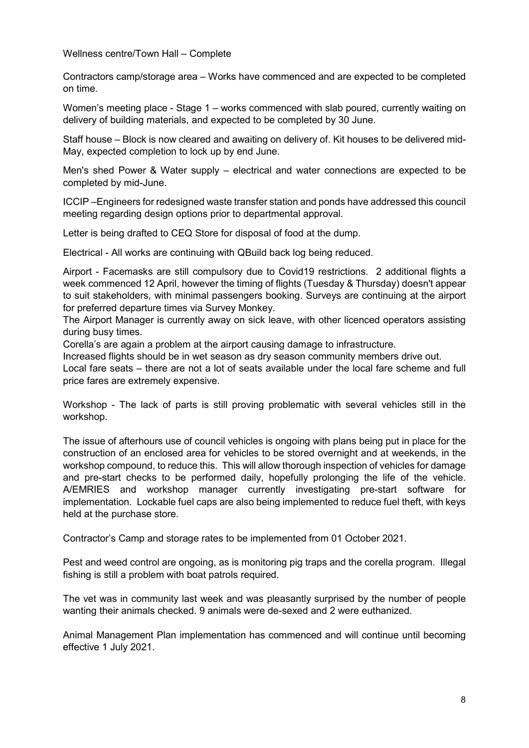Wellness centre/Town Hall – Complete

Contractors camp/storage area – Works have commenced and are expected to be completed on time.

Women's meeting place - Stage 1 – works commenced with slab poured, currently waiting on delivery of building materials, and expected to be completed by 30 June.

Staff house – Block is now cleared and awaiting on delivery of. Kit houses to be delivered mid-May, expected completion to lock up by end June.

Men's shed Power & Water supply – electrical and water connections are expected to be completed by mid-June.

ICCIP –Engineers for redesigned waste transfer station and ponds have addressed this council meeting regarding design options prior to departmental approval.

Letter is being drafted to CEQ Store for disposal of food at the dump.

Electrical - All works are continuing with QBuild back log being reduced.

Airport - Facemasks are still compulsory due to Covid19 restrictions. 2 additional flights a week commenced 12 April, however the timing of flights (Tuesday & Thursday) doesn't appear to suit stakeholders, with minimal passengers booking. Surveys are continuing at the airport for preferred departure times via Survey Monkey.

The Airport Manager is currently away on sick leave, with other licenced operators assisting during busy times.

Corella's are again a problem at the airport causing damage to infrastructure.

Increased flights should be in wet season as dry season community members drive out. Local fare seats – there are not a lot of seats available under the local fare scheme and full price fares are extremely expensive.

Workshop - The lack of parts is still proving problematic with several vehicles still in the workshop.

The issue of afterhours use of council vehicles is ongoing with plans being put in place for the construction of an enclosed area for vehicles to be stored overnight and at weekends, in the workshop compound, to reduce this. This will allow thorough inspection of vehicles for damage and pre-start checks to be performed daily, hopefully prolonging the life of the vehicle. A/EMRIES and workshop manager currently investigating pre-start software for implementation. Lockable fuel caps are also being implemented to reduce fuel theft, with keys held at the purchase store.

Contractor's Camp and storage rates to be implemented from 01 October 2021.

Pest and weed control are ongoing, as is monitoring pig traps and the corella program. Illegal fishing is still a problem with boat patrols required.

The vet was in community last week and was pleasantly surprised by the number of people wanting their animals checked. 9 animals were de-sexed and 2 were euthanized.

Animal Management Plan implementation has commenced and will continue until becoming effective 1 July 2021.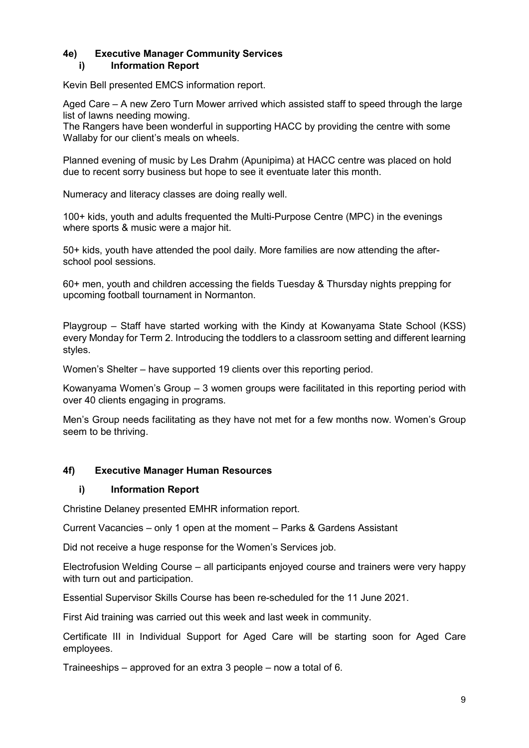## **4e) Executive Manager Community Services i) Information Report**

Kevin Bell presented EMCS information report.

Aged Care – A new Zero Turn Mower arrived which assisted staff to speed through the large list of lawns needing mowing.

The Rangers have been wonderful in supporting HACC by providing the centre with some Wallaby for our client's meals on wheels.

Planned evening of music by Les Drahm (Apunipima) at HACC centre was placed on hold due to recent sorry business but hope to see it eventuate later this month.

Numeracy and literacy classes are doing really well.

100+ kids, youth and adults frequented the Multi-Purpose Centre (MPC) in the evenings where sports & music were a major hit.

50+ kids, youth have attended the pool daily. More families are now attending the afterschool pool sessions.

60+ men, youth and children accessing the fields Tuesday & Thursday nights prepping for upcoming football tournament in Normanton.

Playgroup – Staff have started working with the Kindy at Kowanyama State School (KSS) every Monday for Term 2. Introducing the toddlers to a classroom setting and different learning styles.

Women's Shelter – have supported 19 clients over this reporting period.

Kowanyama Women's Group – 3 women groups were facilitated in this reporting period with over 40 clients engaging in programs.

Men's Group needs facilitating as they have not met for a few months now. Women's Group seem to be thriving.

#### **4f) Executive Manager Human Resources**

#### **i) Information Report**

Christine Delaney presented EMHR information report.

Current Vacancies – only 1 open at the moment – Parks & Gardens Assistant

Did not receive a huge response for the Women's Services job.

Electrofusion Welding Course – all participants enjoyed course and trainers were very happy with turn out and participation.

Essential Supervisor Skills Course has been re-scheduled for the 11 June 2021.

First Aid training was carried out this week and last week in community.

Certificate III in Individual Support for Aged Care will be starting soon for Aged Care employees.

Traineeships – approved for an extra 3 people – now a total of 6.